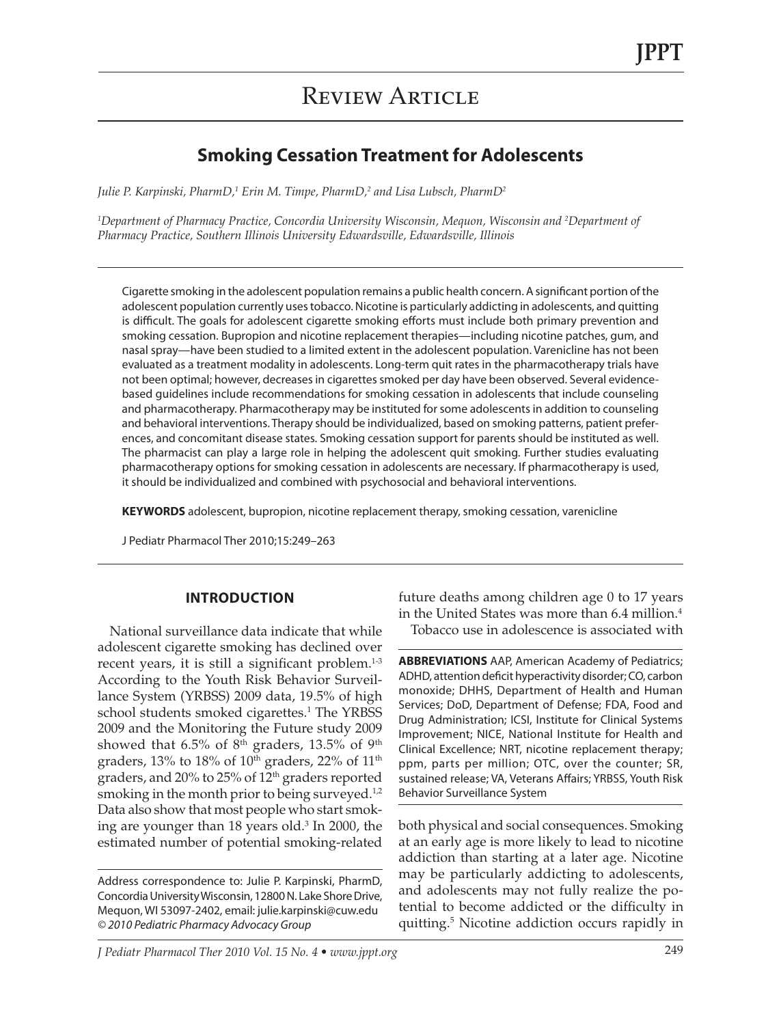### **Smoking Cessation Treatment for Adolescents**

*Julie P. Karpinski, PharmD,1 Erin M. Timpe, PharmD,2 and Lisa Lubsch, PharmD2*

*1 Department of Pharmacy Practice, Concordia University Wisconsin, Mequon, Wisconsin and 2 Department of Pharmacy Practice, Southern Illinois University Edwardsville, Edwardsville, Illinois*

Cigarette smoking in the adolescent population remains a public health concern. A significant portion ofthe adolescent population currently uses tobacco. Nicotine is particularly addicting in adolescents, and quitting is difficult. The goals for adolescent cigarette smoking efforts must include both primary prevention and smoking cessation. Bupropion and nicotine replacement therapies—including nicotine patches, gum, and nasal spray—have been studied to a limited extent in the adolescent population. Varenicline has not been evaluated as a treatment modality in adolescents. Long-term quit rates in the pharmacotherapy trials have not been optimal; however, decreases in cigarettes smoked per day have been observed. Several evidencebased guidelines include recommendations for smoking cessation in adolescents that include counseling and pharmacotherapy. Pharmacotherapy may be instituted for some adolescents in addition to counseling and behavioral interventions. Therapy should be individualized, based on smoking patterns, patient preferences, and concomitant disease states. Smoking cessation support for parents should be instituted as well. The pharmacist can play a large role in helping the adolescent quit smoking. Further studies evaluating pharmacotherapy options for smoking cessation in adolescents are necessary. If pharmacotherapy is used, it should be individualized and combined with psychosocial and behavioral interventions.

**KEYWORDS** adolescent, bupropion, nicotine replacement therapy, smoking cessation, varenicline

J Pediatr Pharmacol Ther 2010;15:249–263

#### **Introduction**

National surveillance data indicate that while adolescent cigarette smoking has declined over recent years, it is still a significant problem.<sup>1-3</sup> According to the Youth Risk Behavior Surveillance System (YRBSS) 2009 data, 19.5% of high school students smoked cigarettes.<sup>1</sup> The YRBSS 2009 and the Monitoring the Future study 2009 showed that 6.5% of 8<sup>th</sup> graders, 13.5% of 9<sup>th</sup> graders, 13% to 18% of  $10<sup>th</sup>$  graders, 22% of  $11<sup>th</sup>$ graders, and 20% to 25% of 12<sup>th</sup> graders reported smoking in the month prior to being surveyed. $^{1,2}$ Data also show that most people who start smoking are younger than 18 years old.<sup>3</sup> In 2000, the estimated number of potential smoking-related

Address correspondence to: Julie P. Karpinski, PharmD, Concordia University Wisconsin, 12800 N. Lake Shore Drive, Mequon, WI 53097-2402, email: julie.karpinski@cuw.edu *© 2010 Pediatric Pharmacy Advocacy Group*

future deaths among children age 0 to 17 years in the United States was more than 6.4 million.<sup>4</sup> Tobacco use in adolescence is associated with

**ABBREVIATIONS** AAP, American Academy of Pediatrics; ADHD, attention deficit hyperactivity disorder;CO, carbon monoxide; DHHS, Department of Health and Human Services; DoD, Department of Defense; FDA, Food and Drug Administration; ICSI, Institute for Clinical Systems Improvement; NICE, National Institute for Health and Clinical Excellence; NRT, nicotine replacement therapy; ppm, parts per million; OTC, over the counter; SR, sustained release; VA, Veterans Affairs; YRBSS, Youth Risk Behavior Surveillance System

both physical and social consequences. Smoking at an early age is more likely to lead to nicotine addiction than starting at a later age. Nicotine may be particularly addicting to adolescents, and adolescents may not fully realize the potential to become addicted or the difficulty in quitting.5 Nicotine addiction occurs rapidly in

*J Pediatr Pharmacol Ther 2010 Vol. 15 No. 4 • www.jppt.org* 249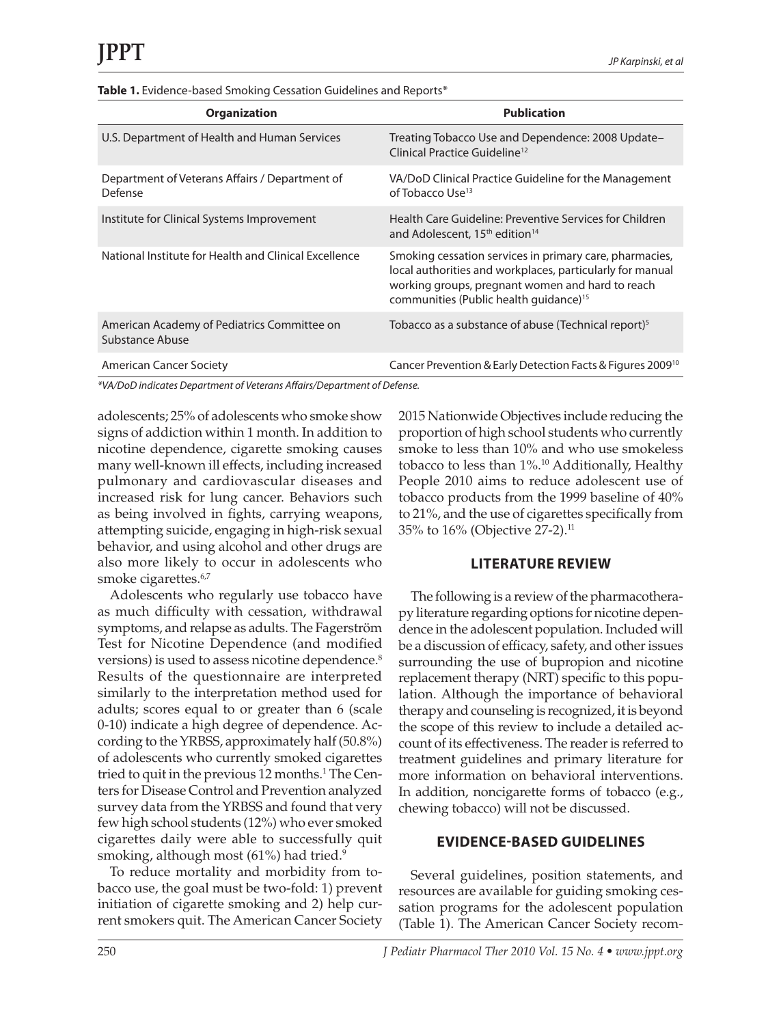#### Table 1. Evidence-based Smoking Cessation Guidelines and Reports\*

| <b>Organization</b>                                            | <b>Publication</b>                                                                                                                                                                                                             |
|----------------------------------------------------------------|--------------------------------------------------------------------------------------------------------------------------------------------------------------------------------------------------------------------------------|
| U.S. Department of Health and Human Services                   | Treating Tobacco Use and Dependence: 2008 Update-<br>Clinical Practice Guideline <sup>12</sup>                                                                                                                                 |
| Department of Veterans Affairs / Department of<br>Defense      | VA/DoD Clinical Practice Guideline for the Management<br>of Tobacco Use <sup>13</sup>                                                                                                                                          |
| Institute for Clinical Systems Improvement                     | Health Care Guideline: Preventive Services for Children<br>and Adolescent, 15 <sup>th</sup> edition <sup>14</sup>                                                                                                              |
| National Institute for Health and Clinical Excellence          | Smoking cessation services in primary care, pharmacies,<br>local authorities and workplaces, particularly for manual<br>working groups, pregnant women and hard to reach<br>communities (Public health quidance) <sup>15</sup> |
| American Academy of Pediatrics Committee on<br>Substance Abuse | Tobacco as a substance of abuse (Technical report) <sup>5</sup>                                                                                                                                                                |
| American Cancer Society                                        | Cancer Prevention & Early Detection Facts & Figures 2009 <sup>10</sup>                                                                                                                                                         |

*\*VA/DoD indicates Department of Veterans Affairs/Department of Defense.*

adolescents; 25% of adolescents who smoke show signs of addiction within 1 month. In addition to nicotine dependence, cigarette smoking causes many well-known ill effects, including increased pulmonary and cardiovascular diseases and increased risk for lung cancer. Behaviors such as being involved in fights, carrying weapons, attempting suicide, engaging in high-risk sexual behavior, and using alcohol and other drugs are also more likely to occur in adolescents who smoke cigarettes.<sup>6,7</sup>

Adolescents who regularly use tobacco have as much difficulty with cessation, withdrawal symptoms, and relapse as adults. The Fagerström Test for Nicotine Dependence (and modified versions) is used to assess nicotine dependence.<sup>8</sup> Results of the questionnaire are interpreted similarly to the interpretation method used for adults; scores equal to or greater than 6 (scale 0-10) indicate a high degree of dependence. According to the YRBSS, approximately half (50.8%) of adolescents who currently smoked cigarettes tried to quit in the previous 12 months.<sup>1</sup> The Centers for Disease Control and Prevention analyzed survey data from the YRBSS and found that very few high school students (12%) who ever smoked cigarettes daily were able to successfully quit smoking, although most (61%) had tried.<sup>9</sup>

To reduce mortality and morbidity from tobacco use, the goal must be two-fold: 1) prevent initiation of cigarette smoking and 2) help current smokers quit. The American Cancer Society 2015 Nationwide Objectives include reducing the proportion of high school students who currently smoke to less than 10% and who use smokeless tobacco to less than 1%.<sup>10</sup> Additionally, Healthy People 2010 aims to reduce adolescent use of tobacco products from the 1999 baseline of 40% to 21%, and the use of cigarettes specifically from 35% to 16% (Objective 27-2).11

#### **LITERATURE REVIEW**

The following is a review of the pharmacotherapy literature regarding options for nicotine dependence in the adolescent population. Included will be a discussion of efficacy, safety, and other issues surrounding the use of bupropion and nicotine replacement therapy (NRT) specific to this population. Although the importance of behavioral therapy and counseling is recognized, it is beyond the scope of this review to include a detailed account of its effectiveness. The reader is referred to treatment guidelines and primary literature for more information on behavioral interventions. In addition, noncigarette forms of tobacco (e.g., chewing tobacco) will not be discussed.

#### **Evidence-Based Guidelines**

Several guidelines, position statements, and resources are available for guiding smoking cessation programs for the adolescent population (Table 1). The American Cancer Society recom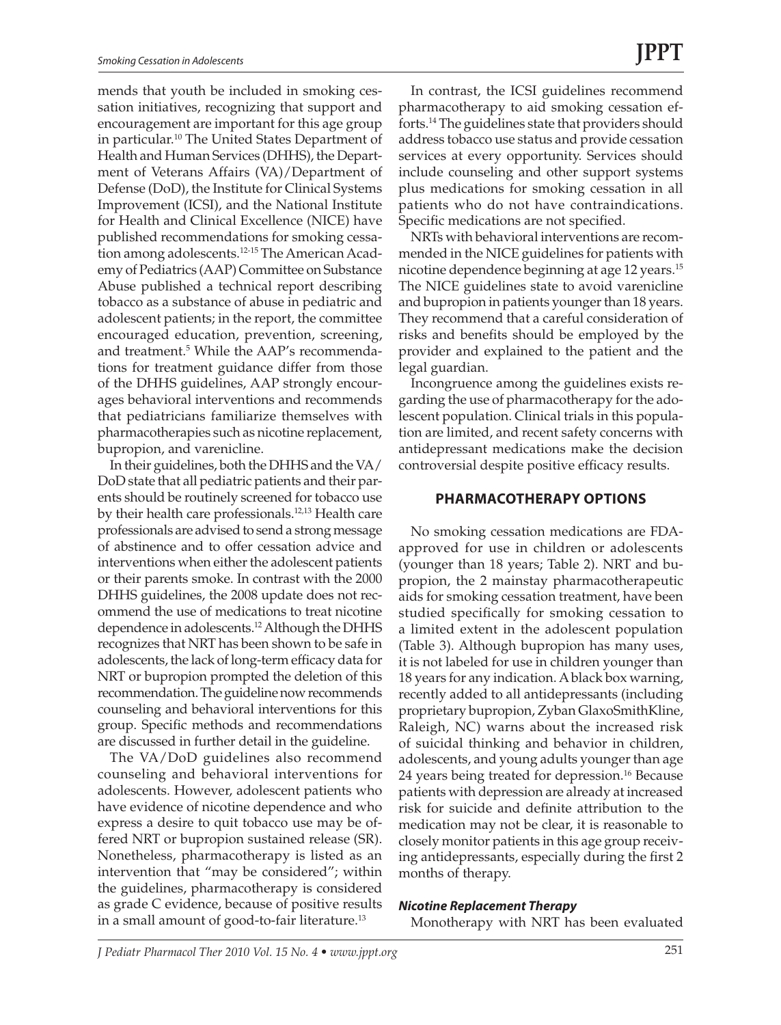mends that youth be included in smoking cessation initiatives, recognizing that support and encouragement are important for this age group in particular.<sup>10</sup> The United States Department of Health and Human Services (DHHS), the Department of Veterans Affairs (VA)/Department of Defense (DoD), the Institute for Clinical Systems Improvement (ICSI), and the National Institute for Health and Clinical Excellence (NICE) have published recommendations for smoking cessation among adolescents.12-15 The American Academy of Pediatrics (AAP) Committee on Substance Abuse published a technical report describing tobacco as a substance of abuse in pediatric and adolescent patients; in the report, the committee encouraged education, prevention, screening, and treatment.<sup>5</sup> While the AAP's recommendations for treatment guidance differ from those of the DHHS guidelines, AAP strongly encourages behavioral interventions and recommends that pediatricians familiarize themselves with pharmacotherapies such as nicotine replacement, bupropion, and varenicline.

In their guidelines, both the DHHS and the VA/ DoD state that all pediatric patients and their parents should be routinely screened for tobacco use by their health care professionals.<sup>12,13</sup> Health care professionals are advised to send a strong message of abstinence and to offer cessation advice and interventions when either the adolescent patients or their parents smoke. In contrast with the 2000 DHHS guidelines, the 2008 update does not recommend the use of medications to treat nicotine dependence in adolescents.12 Although the DHHS recognizes that NRT has been shown to be safe in adolescents, the lack of long-term efficacy data for NRT or bupropion prompted the deletion of this recommendation. The guideline now recommends counseling and behavioral interventions for this group. Specific methods and recommendations are discussed in further detail in the guideline.

The VA/DoD guidelines also recommend counseling and behavioral interventions for adolescents. However, adolescent patients who have evidence of nicotine dependence and who express a desire to quit tobacco use may be offered NRT or bupropion sustained release (SR). Nonetheless, pharmacotherapy is listed as an intervention that "may be considered"; within the guidelines, pharmacotherapy is considered as grade C evidence, because of positive results in a small amount of good-to-fair literature.13

In contrast, the ICSI guidelines recommend pharmacotherapy to aid smoking cessation efforts.14 The guidelines state that providers should address tobacco use status and provide cessation services at every opportunity. Services should include counseling and other support systems plus medications for smoking cessation in all patients who do not have contraindications. Specific medications are not specified.

NRTs with behavioral interventions are recommended in the NICE guidelines for patients with nicotine dependence beginning at age 12 years.<sup>15</sup> The NICE guidelines state to avoid varenicline and bupropion in patients younger than 18 years. They recommend that a careful consideration of risks and benefits should be employed by the provider and explained to the patient and the legal guardian.

Incongruence among the guidelines exists regarding the use of pharmacotherapy for the adolescent population. Clinical trials in this population are limited, and recent safety concerns with antidepressant medications make the decision controversial despite positive efficacy results.

#### **Pharmacotherapy Options**

No smoking cessation medications are FDAapproved for use in children or adolescents (younger than 18 years; Table 2). NRT and bupropion, the 2 mainstay pharmacotherapeutic aids for smoking cessation treatment, have been studied specifically for smoking cessation to a limited extent in the adolescent population (Table 3). Although bupropion has many uses, it is not labeled for use in children younger than 18 years for any indication. A black box warning, recently added to all antidepressants (including proprietary bupropion, Zyban GlaxoSmithKline, Raleigh, NC) warns about the increased risk of suicidal thinking and behavior in children, adolescents, and young adults younger than age 24 years being treated for depression.<sup>16</sup> Because patients with depression are already at increased risk for suicide and definite attribution to the medication may not be clear, it is reasonable to closely monitor patients in this age group receiving antidepressants, especially during the first 2 months of therapy.

#### *Nicotine Replacement Therapy*

Monotherapy with NRT has been evaluated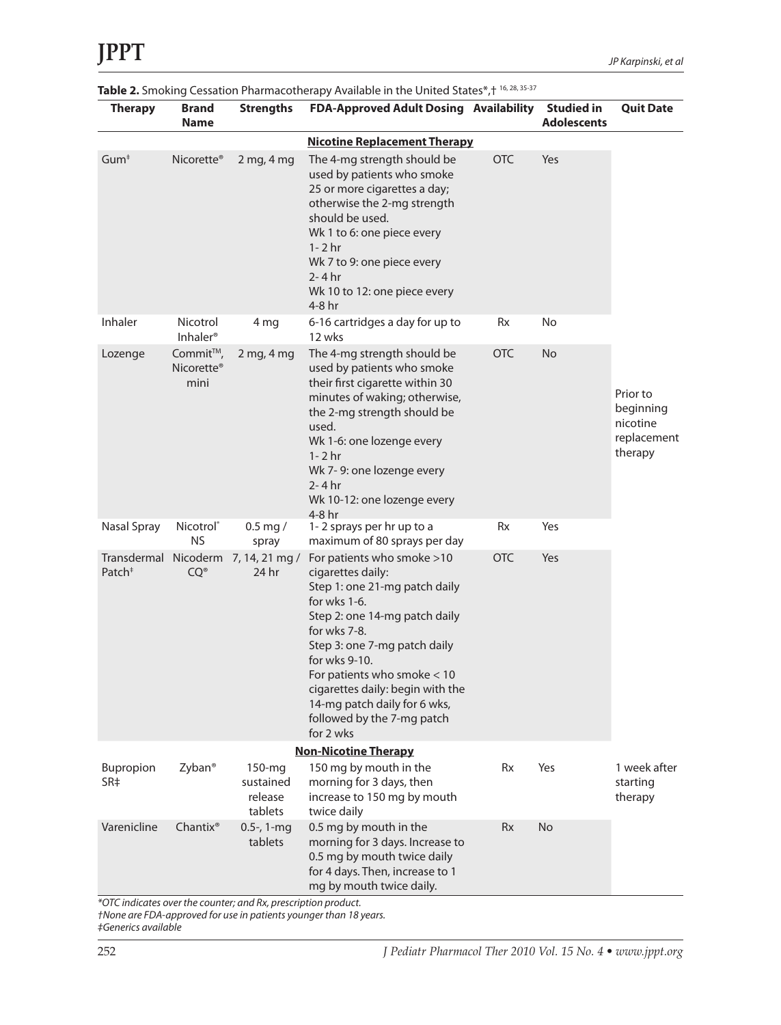| <b>Therapy</b>                      | Brand<br><b>Name</b>                       | <b>Strengths</b>                             | $\blacksquare$ . Sincially cessation maintacouncide, manadic in the onnear states $\mu$<br>FDA-Approved Adult Dosing Availability Studied in                                                                                                                                                                                                       |            | <b>Adolescents</b> | <b>Quit Date</b>                                            |
|-------------------------------------|--------------------------------------------|----------------------------------------------|----------------------------------------------------------------------------------------------------------------------------------------------------------------------------------------------------------------------------------------------------------------------------------------------------------------------------------------------------|------------|--------------------|-------------------------------------------------------------|
| <b>Nicotine Replacement Therapy</b> |                                            |                                              |                                                                                                                                                                                                                                                                                                                                                    |            |                    |                                                             |
| Gum <sup>‡</sup>                    | Nicorette <sup>®</sup>                     | 2 mg, 4 mg                                   | The 4-mg strength should be<br>used by patients who smoke<br>25 or more cigarettes a day;<br>otherwise the 2-mg strength<br>should be used.<br>Wk 1 to 6: one piece every<br>$1 - 2$ hr<br>Wk 7 to 9: one piece every<br>$2 - 4$ hr<br>Wk 10 to 12: one piece every<br>4-8 hr                                                                      | <b>OTC</b> | Yes                |                                                             |
| Inhaler                             | Nicotrol<br>Inhaler <sup>®</sup>           | 4 mg                                         | 6-16 cartridges a day for up to<br>12 wks                                                                                                                                                                                                                                                                                                          | Rx         | No                 |                                                             |
| Lozenge                             | Commit™,<br>Nicorette <sup>®</sup><br>mini | $2$ mg, $4$ mg                               | The 4-mg strength should be<br>used by patients who smoke<br>their first cigarette within 30<br>minutes of waking; otherwise,<br>the 2-mg strength should be<br>used.<br>Wk 1-6: one lozenge every<br>$1 - 2$ hr<br>Wk 7-9: one lozenge every<br>$2 - 4 hr$<br>Wk 10-12: one lozenge every<br>4-8 hr                                               | <b>OTC</b> | <b>No</b>          | Prior to<br>beginning<br>nicotine<br>replacement<br>therapy |
| Nasal Spray                         | Nicotrol <sup>®</sup><br>NS                | $0.5$ mg $/$<br>spray                        | 1-2 sprays per hr up to a<br>maximum of 80 sprays per day                                                                                                                                                                                                                                                                                          | Rx         | Yes                |                                                             |
| Patch $†$                           | $CQ^{\circ}$                               | Transdermal Nicoderm 7, 14, 21 mg /<br>24 hr | For patients who smoke >10<br>cigarettes daily:<br>Step 1: one 21-mg patch daily<br>for wks 1-6.<br>Step 2: one 14-mg patch daily<br>for wks 7-8.<br>Step 3: one 7-mg patch daily<br>for wks 9-10.<br>For patients who smoke $<$ 10<br>cigarettes daily: begin with the<br>14-mg patch daily for 6 wks,<br>followed by the 7-mg patch<br>for 2 wks | <b>OTC</b> | Yes                |                                                             |
|                                     |                                            |                                              | <b>Non-Nicotine Therapy</b>                                                                                                                                                                                                                                                                                                                        |            |                    |                                                             |
| Bupropion<br>SR‡                    | Zyban <sup>®</sup>                         | $150$ -mg<br>sustained<br>release<br>tablets | 150 mg by mouth in the<br>morning for 3 days, then<br>increase to 150 mg by mouth<br>twice daily                                                                                                                                                                                                                                                   | Rx         | Yes                | 1 week after<br>starting<br>therapy                         |
| Varenicline                         | $Chantix^*$                                | $0.5-$ , 1-mg<br>tablets                     | 0.5 mg by mouth in the<br>morning for 3 days. Increase to<br>0.5 mg by mouth twice daily<br>for 4 days. Then, increase to 1<br>mg by mouth twice daily.                                                                                                                                                                                            | Rx         | No                 |                                                             |

Table 2. Smoking Cessation Pharmacotherapy Available in the United States\*, + 16, 28, 35-37

*\*OTC indicates over the counter; and Rx, prescription product. †None are FDA-approved for use in patients younger than 18 years.*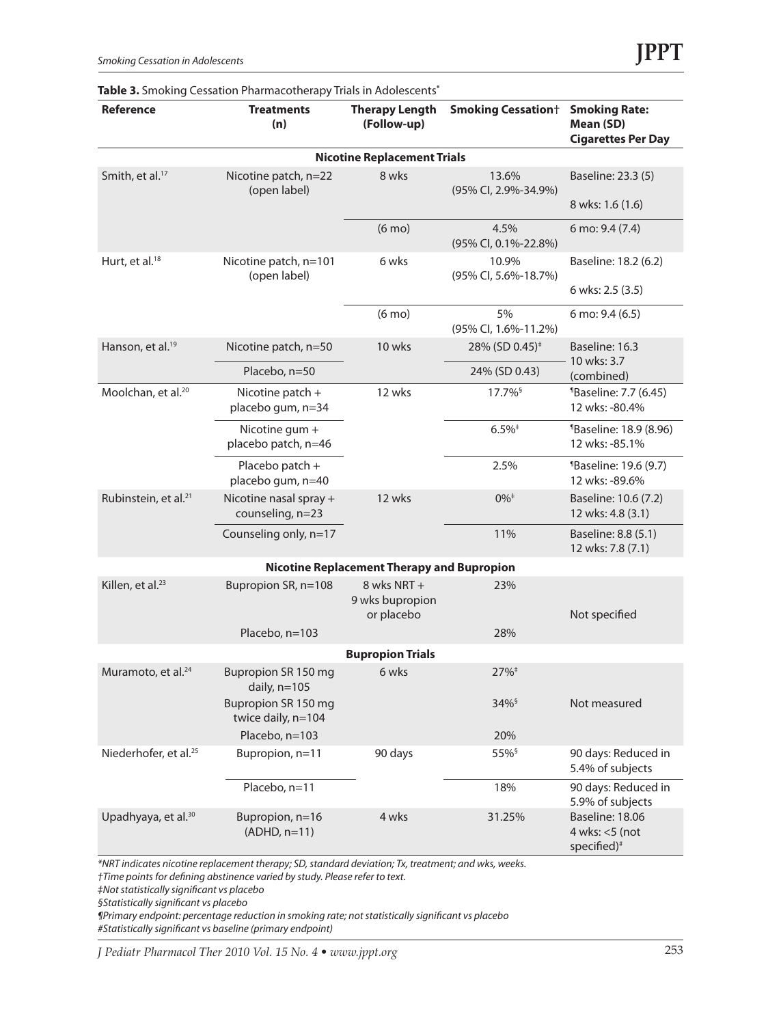|                                    | <b>TODIC 3.</b> SHOKING COSSOLION FIGHTIQUOLICIQP  FINIS IN AQUIUSCINS |                                                   |                                   |                                                                 |  |  |  |
|------------------------------------|------------------------------------------------------------------------|---------------------------------------------------|-----------------------------------|-----------------------------------------------------------------|--|--|--|
| Reference                          | <b>Treatments</b><br>(n)                                               | <b>Therapy Length</b><br>(Follow-up)              | <b>Smoking Cessation</b> †        | <b>Smoking Rate:</b><br>Mean (SD)<br><b>Cigarettes Per Day</b>  |  |  |  |
| <b>Nicotine Replacement Trials</b> |                                                                        |                                                   |                                   |                                                                 |  |  |  |
| Smith, et al. <sup>17</sup>        | Nicotine patch, n=22<br>(open label)                                   | 8 wks                                             | 13.6%<br>(95% CI, 2.9%-34.9%)     | Baseline: 23.3 (5)                                              |  |  |  |
|                                    |                                                                        |                                                   |                                   | 8 wks: 1.6 (1.6)                                                |  |  |  |
|                                    |                                                                        | $(6 \text{ mo})$                                  | 4.5%<br>(95% CI, 0.1%-22.8%)      | 6 mo: 9.4 (7.4)                                                 |  |  |  |
| Hurt, et al. <sup>18</sup>         | Nicotine patch, n=101<br>(open label)                                  | 6 wks                                             | 10.9%<br>(95% CI, 5.6%-18.7%)     | Baseline: 18.2 (6.2)                                            |  |  |  |
|                                    |                                                                        |                                                   |                                   | 6 wks: 2.5 (3.5)                                                |  |  |  |
|                                    |                                                                        | $(6 \text{ mo})$                                  | 5%<br>(95% CI, 1.6%-11.2%)        | 6 mo: 9.4 (6.5)                                                 |  |  |  |
| Hanson, et al. <sup>19</sup>       | Nicotine patch, n=50                                                   | 10 wks                                            | 28% (SD 0.45) <sup>#</sup>        | Baseline: 16.3                                                  |  |  |  |
|                                    | Placebo, n=50                                                          |                                                   | 24% (SD 0.43)                     | 10 wks: 3.7<br>(combined)                                       |  |  |  |
| Moolchan, et al. <sup>20</sup>     | Nicotine patch +<br>placebo gum, n=34                                  | 12 wks                                            | $17.7\%$ <sup>§</sup>             | <sup>1</sup> Baseline: 7.7 (6.45)<br>12 wks: -80.4%             |  |  |  |
|                                    | Nicotine gum +<br>placebo patch, n=46                                  |                                                   | $6.5\%$ <sup><math>+</math></sup> | <b>Baseline: 18.9 (8.96)</b><br>12 wks: -85.1%                  |  |  |  |
|                                    | Placebo patch +<br>placebo gum, n=40                                   |                                                   | 2.5%                              | <sup>1</sup> Baseline: 19.6 (9.7)<br>12 wks: -89.6%             |  |  |  |
| Rubinstein, et al. <sup>21</sup>   | Nicotine nasal spray +<br>counseling, n=23                             | 12 wks                                            | $0\%$ <sup><math>+</math></sup>   | Baseline: 10.6 (7.2)<br>12 wks: 4.8 (3.1)                       |  |  |  |
|                                    | Counseling only, n=17                                                  |                                                   | 11%                               | Baseline: 8.8 (5.1)<br>12 wks: 7.8 (7.1)                        |  |  |  |
|                                    |                                                                        | <b>Nicotine Replacement Therapy and Bupropion</b> |                                   |                                                                 |  |  |  |
| Killen, et al. <sup>23</sup>       | Bupropion SR, n=108                                                    | 8 wks NRT +<br>9 wks bupropion<br>or placebo      | 23%                               | Not specified                                                   |  |  |  |
|                                    | Placebo, n=103                                                         |                                                   | 28%                               |                                                                 |  |  |  |
|                                    |                                                                        | <b>Bupropion Trials</b>                           |                                   |                                                                 |  |  |  |
| Muramoto, et al. <sup>24</sup>     | Bupropion SR 150 mg<br>daily, $n=105$                                  | 6 wks                                             |                                   |                                                                 |  |  |  |
|                                    | Bupropion SR 150 mg<br>twice daily, n=104                              |                                                   | $34\%$                            | Not measured                                                    |  |  |  |
|                                    | Placebo, n=103                                                         |                                                   | 20%                               |                                                                 |  |  |  |
| Niederhofer, et al. <sup>25</sup>  | Bupropion, n=11<br>90 days                                             |                                                   | 55% <sup>§</sup>                  | 90 days: Reduced in<br>5.4% of subjects                         |  |  |  |
|                                    | Placebo, n=11                                                          |                                                   | 18%                               | 90 days: Reduced in<br>5.9% of subjects                         |  |  |  |
| Upadhyaya, et al. <sup>30</sup>    | Bupropion, n=16<br>$(ADHD, n=11)$                                      | 4 wks                                             | 31.25%                            | Baseline: 18.06<br>4 wks: $<$ 5 (not<br>specified) <sup>#</sup> |  |  |  |

**Table 3.** Smoking Cessation Pharmacotherapy Trials in Adolescents**\***

*\*NRT indicates nicotine replacement therapy; SD, standard deviation; Tx, treatment; and wks, weeks.*

*†Time points for defining abstinence varied by study. Please refer to text.*

*‡Not statistically significant vs placebo*

*§Statistically significant vs placebo*

*¶Primary endpoint: percentage reduction in smoking rate; not statistically significant vs placebo #Statistically significant vs baseline (primary endpoint)*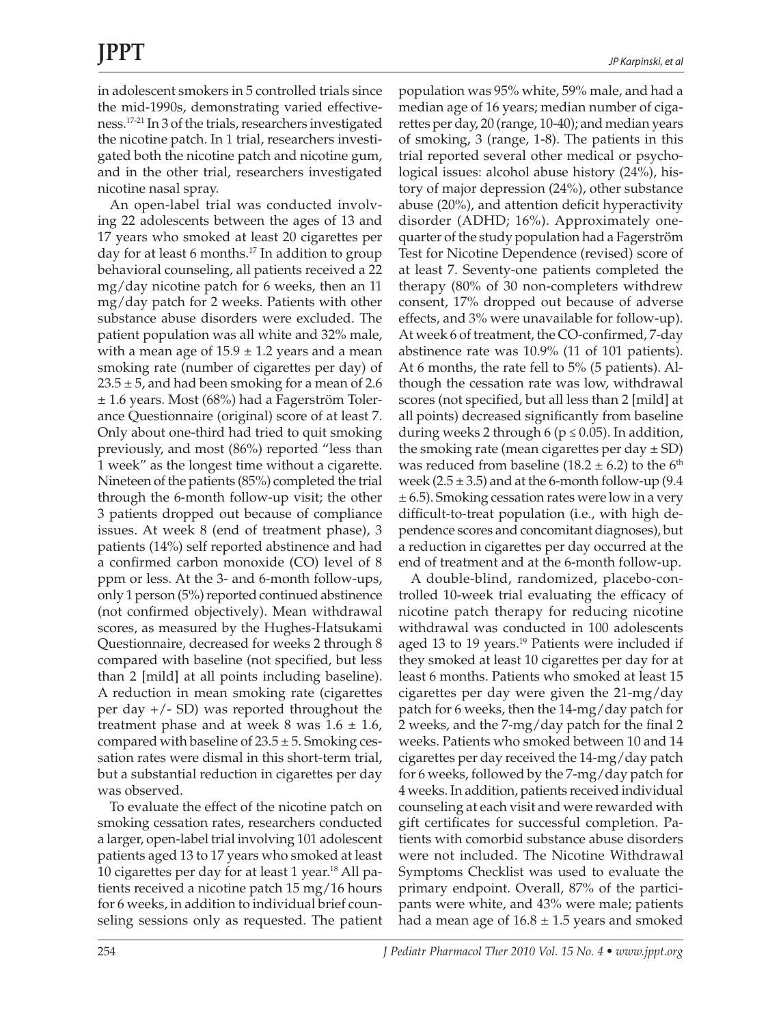in adolescent smokers in 5 controlled trials since the mid-1990s, demonstrating varied effectiveness.17-21 In 3 of the trials, researchers investigated the nicotine patch. In 1 trial, researchers investigated both the nicotine patch and nicotine gum, and in the other trial, researchers investigated nicotine nasal spray.

An open-label trial was conducted involving 22 adolescents between the ages of 13 and 17 years who smoked at least 20 cigarettes per day for at least 6 months.<sup>17</sup> In addition to group behavioral counseling, all patients received a 22 mg/day nicotine patch for 6 weeks, then an 11 mg/day patch for 2 weeks. Patients with other substance abuse disorders were excluded. The patient population was all white and 32% male, with a mean age of  $15.9 \pm 1.2$  years and a mean smoking rate (number of cigarettes per day) of  $23.5 \pm 5$ , and had been smoking for a mean of 2.6 ± 1.6 years. Most (68%) had a Fagerström Tolerance Questionnaire (original) score of at least 7. Only about one-third had tried to quit smoking previously, and most (86%) reported "less than 1 week" as the longest time without a cigarette. Nineteen of the patients (85%) completed the trial through the 6-month follow-up visit; the other 3 patients dropped out because of compliance issues. At week 8 (end of treatment phase), 3 patients (14%) self reported abstinence and had a confirmed carbon monoxide (CO) level of 8 ppm or less. At the 3- and 6-month follow-ups, only 1 person (5%) reported continued abstinence (not confirmed objectively). Mean withdrawal scores, as measured by the Hughes-Hatsukami Questionnaire, decreased for weeks 2 through 8 compared with baseline (not specified, but less than 2 [mild] at all points including baseline). A reduction in mean smoking rate (cigarettes per day +/- SD) was reported throughout the treatment phase and at week 8 was  $1.6 \pm 1.6$ , compared with baseline of  $23.5 \pm 5$ . Smoking cessation rates were dismal in this short-term trial, but a substantial reduction in cigarettes per day was observed.

To evaluate the effect of the nicotine patch on smoking cessation rates, researchers conducted a larger, open-label trial involving 101 adolescent patients aged 13 to 17 years who smoked at least 10 cigarettes per day for at least 1 year.<sup>18</sup> All patients received a nicotine patch 15 mg/16 hours for 6 weeks, in addition to individual brief counseling sessions only as requested. The patient population was 95% white, 59% male, and had a median age of 16 years; median number of cigarettes per day, 20 (range, 10-40); and median years of smoking, 3 (range, 1-8). The patients in this trial reported several other medical or psychological issues: alcohol abuse history (24%), history of major depression (24%), other substance abuse (20%), and attention deficit hyperactivity disorder (ADHD; 16%). Approximately onequarter of the study population had a Fagerström Test for Nicotine Dependence (revised) score of at least 7. Seventy-one patients completed the therapy (80% of 30 non-completers withdrew consent, 17% dropped out because of adverse effects, and 3% were unavailable for follow-up). At week 6 of treatment, the CO-confirmed, 7-day abstinence rate was 10.9% (11 of 101 patients). At 6 months, the rate fell to 5% (5 patients). Although the cessation rate was low, withdrawal scores (not specified, but all less than 2 [mild] at all points) decreased significantly from baseline during weeks 2 through 6 ( $p \le 0.05$ ). In addition, the smoking rate (mean cigarettes per day  $\pm$  SD) was reduced from baseline (18.2  $\pm$  6.2) to the 6<sup>th</sup> week ( $2.5 \pm 3.5$ ) and at the 6-month follow-up ( $9.4$ ) ± 6.5). Smoking cessation rates were low in a very difficult-to-treat population (i.e., with high dependence scores and concomitant diagnoses), but a reduction in cigarettes per day occurred at the end of treatment and at the 6-month follow-up.

A double-blind, randomized, placebo-controlled 10-week trial evaluating the efficacy of nicotine patch therapy for reducing nicotine withdrawal was conducted in 100 adolescents aged 13 to 19 years.<sup>19</sup> Patients were included if they smoked at least 10 cigarettes per day for at least 6 months. Patients who smoked at least 15 cigarettes per day were given the 21-mg/day patch for 6 weeks, then the 14-mg/day patch for 2 weeks, and the 7-mg/day patch for the final 2 weeks. Patients who smoked between 10 and 14 cigarettes per day received the 14-mg/day patch for 6 weeks, followed by the 7-mg/day patch for 4 weeks. In addition, patients received individual counseling at each visit and were rewarded with gift certificates for successful completion. Patients with comorbid substance abuse disorders were not included. The Nicotine Withdrawal Symptoms Checklist was used to evaluate the primary endpoint. Overall, 87% of the participants were white, and 43% were male; patients had a mean age of  $16.8 \pm 1.5$  years and smoked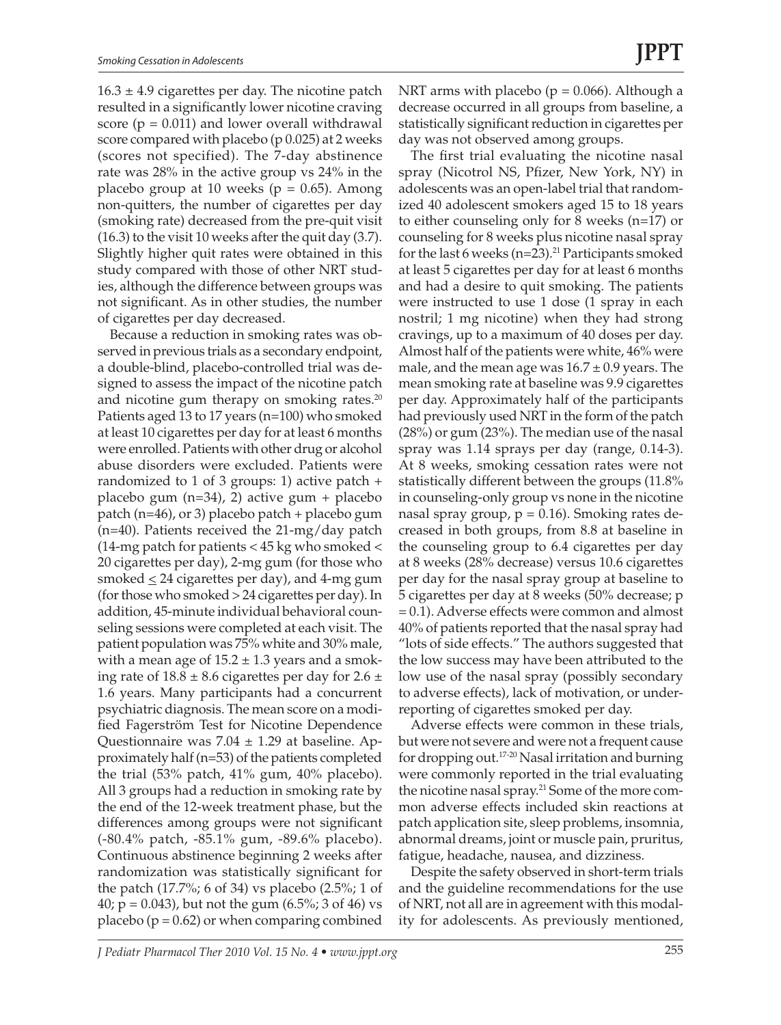$16.3 \pm 4.9$  cigarettes per day. The nicotine patch resulted in a significantly lower nicotine craving score ( $p = 0.011$ ) and lower overall withdrawal score compared with placebo (p 0.025) at 2 weeks (scores not specified). The 7-day abstinence rate was 28% in the active group vs 24% in the placebo group at 10 weeks ( $p = 0.65$ ). Among non-quitters, the number of cigarettes per day (smoking rate) decreased from the pre-quit visit (16.3) to the visit 10 weeks after the quit day (3.7). Slightly higher quit rates were obtained in this study compared with those of other NRT studies, although the difference between groups was not significant. As in other studies, the number of cigarettes per day decreased.

Because a reduction in smoking rates was observed in previous trials as a secondary endpoint, a double-blind, placebo-controlled trial was designed to assess the impact of the nicotine patch and nicotine gum therapy on smoking rates.<sup>20</sup> Patients aged 13 to 17 years (n=100) who smoked at least 10 cigarettes per day for at least 6 months were enrolled. Patients with other drug or alcohol abuse disorders were excluded. Patients were randomized to 1 of 3 groups: 1) active patch + placebo gum (n=34), 2) active gum + placebo patch (n=46), or 3) placebo patch + placebo gum (n=40). Patients received the 21-mg/day patch (14-mg patch for patients < 45 kg who smoked < 20 cigarettes per day), 2-mg gum (for those who smoked  $\leq$  24 cigarettes per day), and 4-mg gum (for those who smoked > 24 cigarettes per day). In addition, 45-minute individual behavioral counseling sessions were completed at each visit. The patient population was 75% white and 30% male, with a mean age of  $15.2 \pm 1.3$  years and a smoking rate of  $18.8 \pm 8.6$  cigarettes per day for  $2.6 \pm 1.6$ 1.6 years. Many participants had a concurrent psychiatric diagnosis. The mean score on a modified Fagerström Test for Nicotine Dependence Questionnaire was  $7.04 \pm 1.29$  at baseline. Approximately half (n=53) of the patients completed the trial (53% patch, 41% gum, 40% placebo). All 3 groups had a reduction in smoking rate by the end of the 12-week treatment phase, but the differences among groups were not significant (-80.4% patch, -85.1% gum, -89.6% placebo). Continuous abstinence beginning 2 weeks after randomization was statistically significant for the patch (17.7%; 6 of 34) vs placebo (2.5%; 1 of 40;  $p = 0.043$ ), but not the gum (6.5%; 3 of 46) vs placebo ( $p = 0.62$ ) or when comparing combined

NRT arms with placebo ( $p = 0.066$ ). Although a decrease occurred in all groups from baseline, a statistically significant reduction in cigarettes per day was not observed among groups.

The first trial evaluating the nicotine nasal spray (Nicotrol NS, Pfizer, New York, NY) in adolescents was an open-label trial that randomized 40 adolescent smokers aged 15 to 18 years to either counseling only for 8 weeks (n=17) or counseling for 8 weeks plus nicotine nasal spray for the last 6 weeks ( $n=23$ ).<sup>21</sup> Participants smoked at least 5 cigarettes per day for at least 6 months and had a desire to quit smoking. The patients were instructed to use 1 dose (1 spray in each nostril; 1 mg nicotine) when they had strong cravings, up to a maximum of 40 doses per day. Almost half of the patients were white, 46% were male, and the mean age was  $16.7 \pm 0.9$  years. The mean smoking rate at baseline was 9.9 cigarettes per day. Approximately half of the participants had previously used NRT in the form of the patch (28%) or gum (23%). The median use of the nasal spray was 1.14 sprays per day (range, 0.14-3). At 8 weeks, smoking cessation rates were not statistically different between the groups (11.8% in counseling-only group vs none in the nicotine nasal spray group, p = 0.16). Smoking rates decreased in both groups, from 8.8 at baseline in the counseling group to 6.4 cigarettes per day at 8 weeks (28% decrease) versus 10.6 cigarettes per day for the nasal spray group at baseline to 5 cigarettes per day at 8 weeks (50% decrease; p = 0.1). Adverse effects were common and almost 40% of patients reported that the nasal spray had "lots of side effects." The authors suggested that the low success may have been attributed to the low use of the nasal spray (possibly secondary to adverse effects), lack of motivation, or underreporting of cigarettes smoked per day.

Adverse effects were common in these trials, but were not severe and were not a frequent cause for dropping out.17-20 Nasal irritation and burning were commonly reported in the trial evaluating the nicotine nasal spray.<sup>21</sup> Some of the more common adverse effects included skin reactions at patch application site, sleep problems, insomnia, abnormal dreams, joint or muscle pain, pruritus, fatigue, headache, nausea, and dizziness.

Despite the safety observed in short-term trials and the guideline recommendations for the use of NRT, not all are in agreement with this modality for adolescents. As previously mentioned,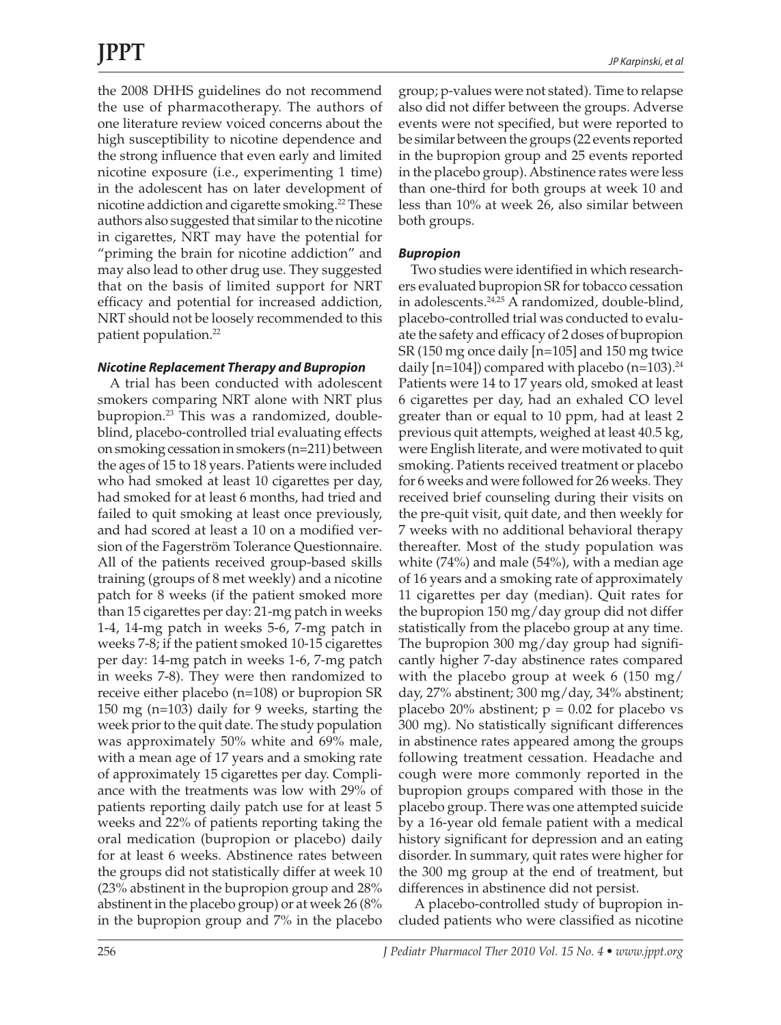the 2008 DHHS guidelines do not recommend the use of pharmacotherapy. The authors of one literature review voiced concerns about the high susceptibility to nicotine dependence and the strong influence that even early and limited nicotine exposure (i.e., experimenting 1 time) in the adolescent has on later development of nicotine addiction and cigarette smoking.<sup>22</sup> These authors also suggested that similar to the nicotine in cigarettes, NRT may have the potential for "priming the brain for nicotine addiction" and may also lead to other drug use. They suggested that on the basis of limited support for NRT efficacy and potential for increased addiction, NRT should not be loosely recommended to this patient population.22

#### *Nicotine Replacement Therapy and Bupropion*

A trial has been conducted with adolescent smokers comparing NRT alone with NRT plus bupropion.23 This was a randomized, doubleblind, placebo-controlled trial evaluating effects on smoking cessation in smokers (n=211) between the ages of 15 to 18 years. Patients were included who had smoked at least 10 cigarettes per day, had smoked for at least 6 months, had tried and failed to quit smoking at least once previously, and had scored at least a 10 on a modified version of the Fagerström Tolerance Questionnaire. All of the patients received group-based skills training (groups of 8 met weekly) and a nicotine patch for 8 weeks (if the patient smoked more than 15 cigarettes per day: 21-mg patch in weeks 1-4, 14-mg patch in weeks 5-6, 7-mg patch in weeks 7-8; if the patient smoked 10-15 cigarettes per day: 14-mg patch in weeks 1-6, 7-mg patch in weeks 7-8). They were then randomized to receive either placebo (n=108) or bupropion SR 150 mg (n=103) daily for 9 weeks, starting the week prior to the quit date. The study population was approximately 50% white and 69% male, with a mean age of 17 years and a smoking rate of approximately 15 cigarettes per day. Compliance with the treatments was low with 29% of patients reporting daily patch use for at least 5 weeks and 22% of patients reporting taking the oral medication (bupropion or placebo) daily for at least 6 weeks. Abstinence rates between the groups did not statistically differ at week 10 (23% abstinent in the bupropion group and 28% abstinent in the placebo group) or at week 26 (8% in the bupropion group and 7% in the placebo

group; p-values were not stated). Time to relapse also did not differ between the groups. Adverse events were not specified, but were reported to be similar between the groups (22 events reported in the bupropion group and 25 events reported in the placebo group). Abstinence rates were less than one-third for both groups at week 10 and less than 10% at week 26, also similar between both groups.

#### *Bupropion*

Two studies were identified in which researchers evaluated bupropion SR for tobacco cessation in adolescents.<sup>24,25</sup> A randomized, double-blind, placebo-controlled trial was conducted to evaluate the safety and efficacy of 2 doses of bupropion SR (150 mg once daily [n=105] and 150 mg twice daily  $[n=104]$ ) compared with placebo (n=103).<sup>24</sup> Patients were 14 to 17 years old, smoked at least 6 cigarettes per day, had an exhaled CO level greater than or equal to 10 ppm, had at least 2 previous quit attempts, weighed at least 40.5 kg, were English literate, and were motivated to quit smoking. Patients received treatment or placebo for 6 weeks and were followed for 26 weeks. They received brief counseling during their visits on the pre-quit visit, quit date, and then weekly for 7 weeks with no additional behavioral therapy thereafter. Most of the study population was white (74%) and male (54%), with a median age of 16 years and a smoking rate of approximately 11 cigarettes per day (median). Quit rates for the bupropion 150 mg/day group did not differ statistically from the placebo group at any time. The bupropion 300 mg/day group had significantly higher 7-day abstinence rates compared with the placebo group at week 6 (150 mg/ day, 27% abstinent; 300 mg/day, 34% abstinent; placebo 20% abstinent;  $p = 0.02$  for placebo vs 300 mg). No statistically significant differences in abstinence rates appeared among the groups following treatment cessation. Headache and cough were more commonly reported in the bupropion groups compared with those in the placebo group. There was one attempted suicide by a 16-year old female patient with a medical history significant for depression and an eating disorder. In summary, quit rates were higher for the 300 mg group at the end of treatment, but differences in abstinence did not persist.

 A placebo-controlled study of bupropion included patients who were classified as nicotine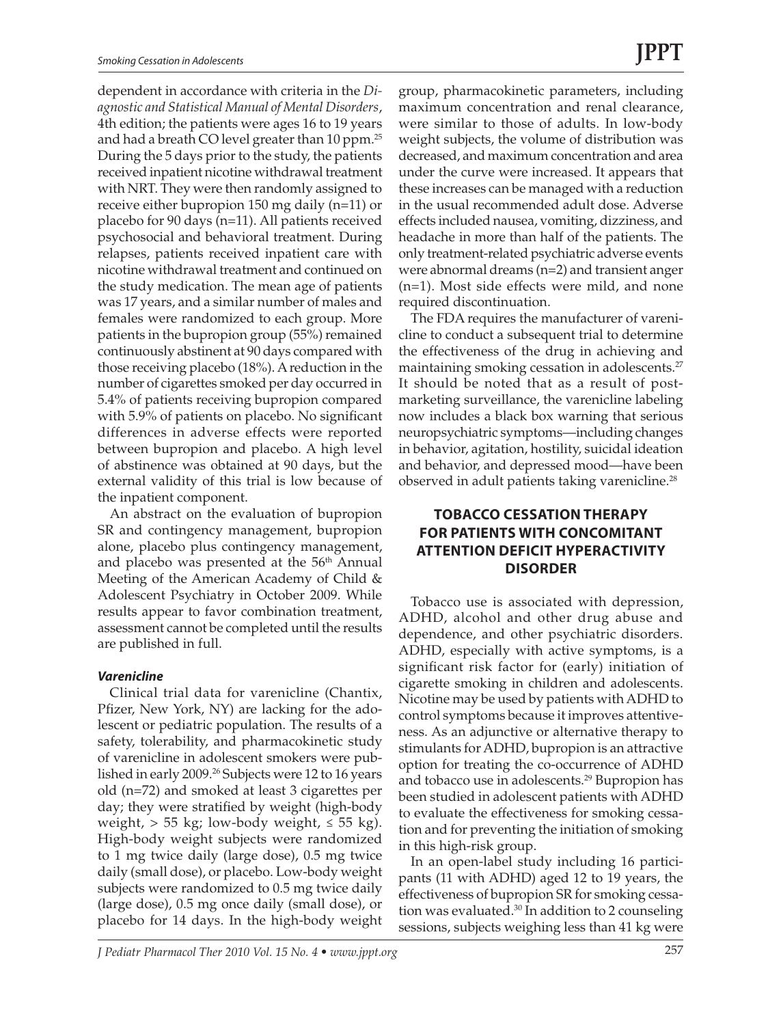dependent in accordance with criteria in the *Diagnostic and Statistical Manual of Mental Disorders*, 4th edition; the patients were ages 16 to 19 years and had a breath CO level greater than 10 ppm.25 During the 5 days prior to the study, the patients received inpatient nicotine withdrawal treatment with NRT. They were then randomly assigned to receive either bupropion 150 mg daily (n=11) or placebo for 90 days (n=11). All patients received psychosocial and behavioral treatment. During relapses, patients received inpatient care with nicotine withdrawal treatment and continued on the study medication. The mean age of patients was 17 years, and a similar number of males and females were randomized to each group. More patients in the bupropion group (55%) remained continuously abstinent at 90 days compared with those receiving placebo (18%). A reduction in the number of cigarettes smoked per day occurred in 5.4% of patients receiving bupropion compared with 5.9% of patients on placebo. No significant differences in adverse effects were reported between bupropion and placebo. A high level of abstinence was obtained at 90 days, but the external validity of this trial is low because of the inpatient component.

An abstract on the evaluation of bupropion SR and contingency management, bupropion alone, placebo plus contingency management, and placebo was presented at the  $56<sup>th</sup>$  Annual Meeting of the American Academy of Child & Adolescent Psychiatry in October 2009. While results appear to favor combination treatment, assessment cannot be completed until the results are published in full.

#### *Varenicline*

Clinical trial data for varenicline (Chantix, Pfizer, New York, NY) are lacking for the adolescent or pediatric population. The results of a safety, tolerability, and pharmacokinetic study of varenicline in adolescent smokers were published in early 2009.<sup>26</sup> Subjects were 12 to 16 years old (n=72) and smoked at least 3 cigarettes per day; they were stratified by weight (high-body weight,  $> 55$  kg; low-body weight,  $\leq 55$  kg). High-body weight subjects were randomized to 1 mg twice daily (large dose), 0.5 mg twice daily (small dose), or placebo. Low-body weight subjects were randomized to 0.5 mg twice daily (large dose), 0.5 mg once daily (small dose), or placebo for 14 days. In the high-body weight

group, pharmacokinetic parameters, including maximum concentration and renal clearance, were similar to those of adults. In low-body weight subjects, the volume of distribution was decreased, and maximum concentration and area under the curve were increased. It appears that these increases can be managed with a reduction in the usual recommended adult dose. Adverse effects included nausea, vomiting, dizziness, and headache in more than half of the patients. The only treatment-related psychiatric adverse events were abnormal dreams (n=2) and transient anger (n=1). Most side effects were mild, and none required discontinuation.

The FDA requires the manufacturer of varenicline to conduct a subsequent trial to determine the effectiveness of the drug in achieving and maintaining smoking cessation in adolescents.<sup>27</sup> It should be noted that as a result of postmarketing surveillance, the varenicline labeling now includes a black box warning that serious neuropsychiatric symptoms—including changes in behavior, agitation, hostility, suicidal ideation and behavior, and depressed mood—have been observed in adult patients taking varenicline.<sup>28</sup>

### **TOBACCO CESSATION THERAPY FOR PATIENTS WITH CONCOMITANT ATTENTION DEFICIT HYPERACTIVITY DISORDER**

Tobacco use is associated with depression, ADHD, alcohol and other drug abuse and dependence, and other psychiatric disorders. ADHD, especially with active symptoms, is a significant risk factor for (early) initiation of cigarette smoking in children and adolescents. Nicotine may be used by patients with ADHD to control symptoms because it improves attentiveness. As an adjunctive or alternative therapy to stimulants for ADHD, bupropion is an attractive option for treating the co-occurrence of ADHD and tobacco use in adolescents.<sup>29</sup> Bupropion has been studied in adolescent patients with ADHD to evaluate the effectiveness for smoking cessation and for preventing the initiation of smoking in this high-risk group.

In an open-label study including 16 participants (11 with ADHD) aged 12 to 19 years, the effectiveness of bupropion SR for smoking cessation was evaluated.30 In addition to 2 counseling sessions, subjects weighing less than 41 kg were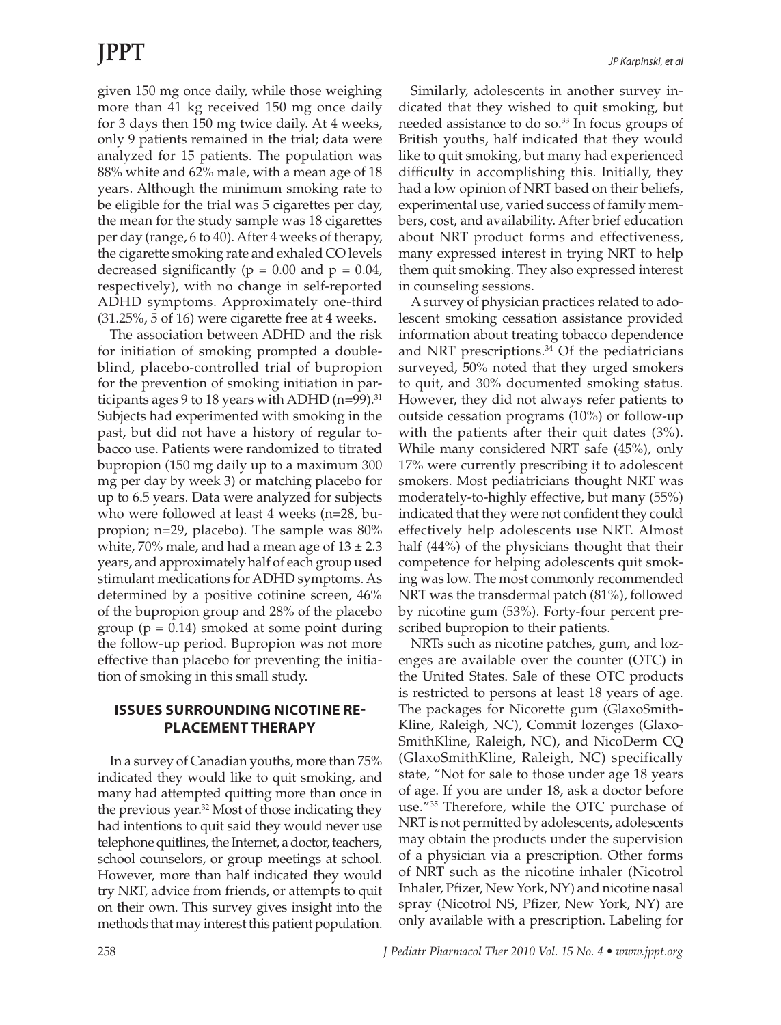given 150 mg once daily, while those weighing more than 41 kg received 150 mg once daily for 3 days then 150 mg twice daily. At 4 weeks, only 9 patients remained in the trial; data were analyzed for 15 patients. The population was 88% white and 62% male, with a mean age of 18 years. Although the minimum smoking rate to be eligible for the trial was 5 cigarettes per day, the mean for the study sample was 18 cigarettes per day (range, 6 to 40). After 4 weeks of therapy, the cigarette smoking rate and exhaled CO levels decreased significantly ( $p = 0.00$  and  $p = 0.04$ , respectively), with no change in self-reported ADHD symptoms. Approximately one-third (31.25%, 5 of 16) were cigarette free at 4 weeks.

The association between ADHD and the risk for initiation of smoking prompted a doubleblind, placebo-controlled trial of bupropion for the prevention of smoking initiation in participants ages 9 to 18 years with ADHD ( $n=99$ ).<sup>31</sup> Subjects had experimented with smoking in the past, but did not have a history of regular tobacco use. Patients were randomized to titrated bupropion (150 mg daily up to a maximum 300 mg per day by week 3) or matching placebo for up to 6.5 years. Data were analyzed for subjects who were followed at least 4 weeks (n=28, bupropion; n=29, placebo). The sample was 80% white, 70% male, and had a mean age of  $13 \pm 2.3$ years, and approximately half of each group used stimulant medications for ADHD symptoms. As determined by a positive cotinine screen, 46% of the bupropion group and 28% of the placebo group ( $p = 0.14$ ) smoked at some point during the follow-up period. Bupropion was not more effective than placebo for preventing the initiation of smoking in this small study.

#### **ISSUES SURROUNDING NICOTINE RE-PLACEMENT THERAPY**

In a survey of Canadian youths, more than 75% indicated they would like to quit smoking, and many had attempted quitting more than once in the previous year.<sup>32</sup> Most of those indicating they had intentions to quit said they would never use telephone quitlines, the Internet, a doctor, teachers, school counselors, or group meetings at school. However, more than half indicated they would try NRT, advice from friends, or attempts to quit on their own. This survey gives insight into the methods that may interest this patient population.

Similarly, adolescents in another survey indicated that they wished to quit smoking, but needed assistance to do so.<sup>33</sup> In focus groups of British youths, half indicated that they would like to quit smoking, but many had experienced difficulty in accomplishing this. Initially, they had a low opinion of NRT based on their beliefs, experimental use, varied success of family members, cost, and availability. After brief education about NRT product forms and effectiveness, many expressed interest in trying NRT to help them quit smoking. They also expressed interest in counseling sessions.

A survey of physician practices related to adolescent smoking cessation assistance provided information about treating tobacco dependence and NRT prescriptions. $34$  Of the pediatricians surveyed, 50% noted that they urged smokers to quit, and 30% documented smoking status. However, they did not always refer patients to outside cessation programs (10%) or follow-up with the patients after their quit dates (3%). While many considered NRT safe (45%), only 17% were currently prescribing it to adolescent smokers. Most pediatricians thought NRT was moderately-to-highly effective, but many (55%) indicated that they were not confident they could effectively help adolescents use NRT. Almost half (44%) of the physicians thought that their competence for helping adolescents quit smoking was low. The most commonly recommended NRT was the transdermal patch (81%), followed by nicotine gum (53%). Forty-four percent prescribed bupropion to their patients.

NRTs such as nicotine patches, gum, and lozenges are available over the counter (OTC) in the United States. Sale of these OTC products is restricted to persons at least 18 years of age. The packages for Nicorette gum (GlaxoSmith-Kline, Raleigh, NC), Commit lozenges (Glaxo-SmithKline, Raleigh, NC), and NicoDerm CQ (GlaxoSmithKline, Raleigh, NC) specifically state, "Not for sale to those under age 18 years of age. If you are under 18, ask a doctor before use."35 Therefore, while the OTC purchase of NRT is not permitted by adolescents, adolescents may obtain the products under the supervision of a physician via a prescription. Other forms of NRT such as the nicotine inhaler (Nicotrol Inhaler, Pfizer, New York, NY) and nicotine nasal spray (Nicotrol NS, Pfizer, New York, NY) are only available with a prescription. Labeling for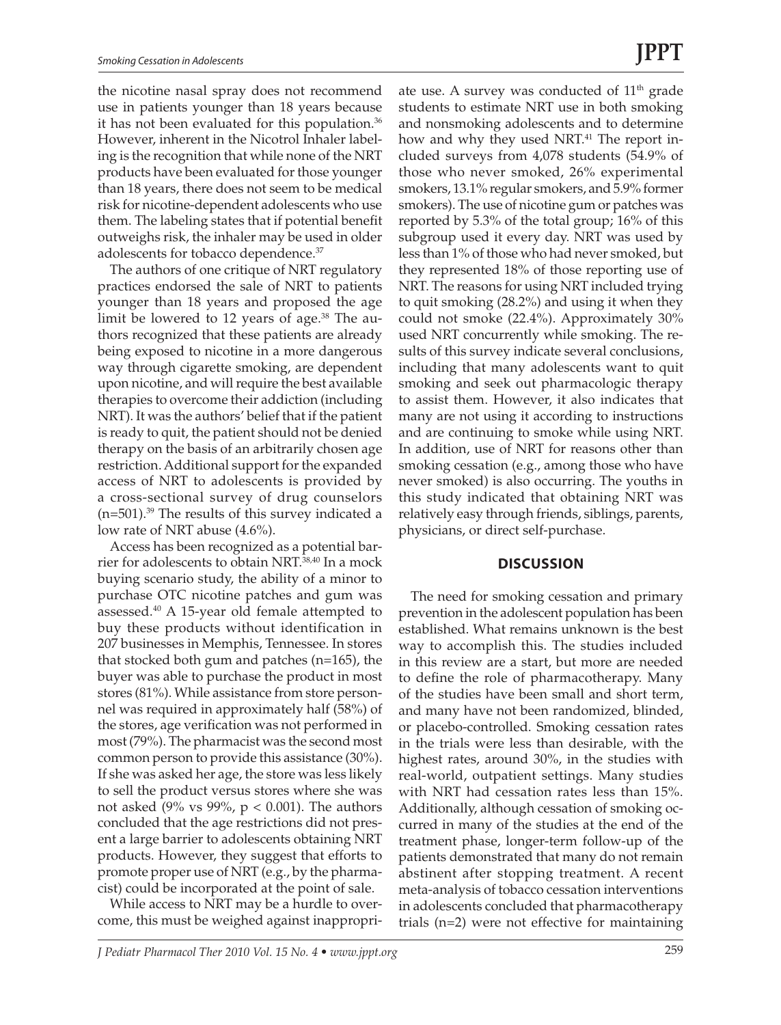the nicotine nasal spray does not recommend use in patients younger than 18 years because it has not been evaluated for this population.<sup>36</sup> However, inherent in the Nicotrol Inhaler labeling is the recognition that while none of the NRT products have been evaluated for those younger than 18 years, there does not seem to be medical risk for nicotine-dependent adolescents who use them. The labeling states that if potential benefit outweighs risk, the inhaler may be used in older adolescents for tobacco dependence.37

The authors of one critique of NRT regulatory practices endorsed the sale of NRT to patients younger than 18 years and proposed the age limit be lowered to 12 years of age.<sup>38</sup> The authors recognized that these patients are already being exposed to nicotine in a more dangerous way through cigarette smoking, are dependent upon nicotine, and will require the best available therapies to overcome their addiction (including NRT). It was the authors' belief that if the patient is ready to quit, the patient should not be denied therapy on the basis of an arbitrarily chosen age restriction. Additional support for the expanded access of NRT to adolescents is provided by a cross-sectional survey of drug counselors  $(n=501).^{39}$  The results of this survey indicated a low rate of NRT abuse (4.6%).

Access has been recognized as a potential barrier for adolescents to obtain NRT.38,40 In a mock buying scenario study, the ability of a minor to purchase OTC nicotine patches and gum was assessed.40 A 15-year old female attempted to buy these products without identification in 207 businesses in Memphis, Tennessee. In stores that stocked both gum and patches (n=165), the buyer was able to purchase the product in most stores (81%). While assistance from store personnel was required in approximately half (58%) of the stores, age verification was not performed in most (79%). The pharmacist was the second most common person to provide this assistance (30%). If she was asked her age, the store was less likely to sell the product versus stores where she was not asked (9% vs 99%,  $p < 0.001$ ). The authors concluded that the age restrictions did not present a large barrier to adolescents obtaining NRT products. However, they suggest that efforts to promote proper use of NRT (e.g., by the pharmacist) could be incorporated at the point of sale.

While access to NRT may be a hurdle to overcome, this must be weighed against inappropri-

ate use. A survey was conducted of 11<sup>th</sup> grade students to estimate NRT use in both smoking and nonsmoking adolescents and to determine how and why they used NRT.<sup>41</sup> The report included surveys from 4,078 students (54.9% of those who never smoked, 26% experimental smokers, 13.1% regular smokers, and 5.9% former smokers). The use of nicotine gum or patches was reported by 5.3% of the total group; 16% of this subgroup used it every day. NRT was used by less than 1% of those who had never smoked, but they represented 18% of those reporting use of NRT. The reasons for using NRT included trying to quit smoking (28.2%) and using it when they could not smoke (22.4%). Approximately 30% used NRT concurrently while smoking. The results of this survey indicate several conclusions, including that many adolescents want to quit smoking and seek out pharmacologic therapy to assist them. However, it also indicates that many are not using it according to instructions and are continuing to smoke while using NRT. In addition, use of NRT for reasons other than smoking cessation (e.g., among those who have never smoked) is also occurring. The youths in this study indicated that obtaining NRT was relatively easy through friends, siblings, parents, physicians, or direct self-purchase.

#### **Discussion**

The need for smoking cessation and primary prevention in the adolescent population has been established. What remains unknown is the best way to accomplish this. The studies included in this review are a start, but more are needed to define the role of pharmacotherapy. Many of the studies have been small and short term, and many have not been randomized, blinded, or placebo-controlled. Smoking cessation rates in the trials were less than desirable, with the highest rates, around 30%, in the studies with real-world, outpatient settings. Many studies with NRT had cessation rates less than 15%. Additionally, although cessation of smoking occurred in many of the studies at the end of the treatment phase, longer-term follow-up of the patients demonstrated that many do not remain abstinent after stopping treatment. A recent meta-analysis of tobacco cessation interventions in adolescents concluded that pharmacotherapy trials (n=2) were not effective for maintaining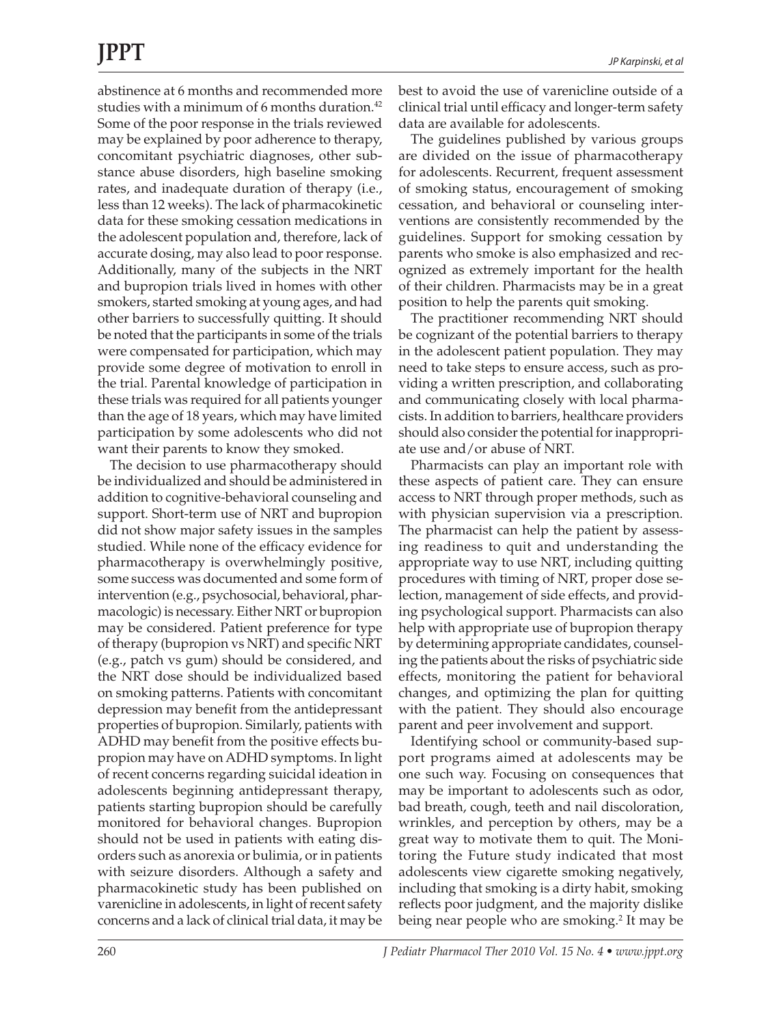## **JPPT**

abstinence at 6 months and recommended more studies with a minimum of 6 months duration.<sup>42</sup> Some of the poor response in the trials reviewed may be explained by poor adherence to therapy, concomitant psychiatric diagnoses, other substance abuse disorders, high baseline smoking rates, and inadequate duration of therapy (i.e., less than 12 weeks). The lack of pharmacokinetic data for these smoking cessation medications in the adolescent population and, therefore, lack of accurate dosing, may also lead to poor response. Additionally, many of the subjects in the NRT and bupropion trials lived in homes with other smokers, started smoking at young ages, and had other barriers to successfully quitting. It should be noted that the participants in some of the trials were compensated for participation, which may provide some degree of motivation to enroll in the trial. Parental knowledge of participation in these trials was required for all patients younger than the age of 18 years, which may have limited participation by some adolescents who did not want their parents to know they smoked.

The decision to use pharmacotherapy should be individualized and should be administered in addition to cognitive-behavioral counseling and support. Short-term use of NRT and bupropion did not show major safety issues in the samples studied. While none of the efficacy evidence for pharmacotherapy is overwhelmingly positive, some success was documented and some form of intervention (e.g., psychosocial, behavioral, pharmacologic) is necessary. Either NRT or bupropion may be considered. Patient preference for type of therapy (bupropion vs NRT) and specific NRT (e.g., patch vs gum) should be considered, and the NRT dose should be individualized based on smoking patterns. Patients with concomitant depression may benefit from the antidepressant properties of bupropion. Similarly, patients with ADHD may benefit from the positive effects bupropion may have on ADHD symptoms. In light of recent concerns regarding suicidal ideation in adolescents beginning antidepressant therapy, patients starting bupropion should be carefully monitored for behavioral changes. Bupropion should not be used in patients with eating disorders such as anorexia or bulimia, or in patients with seizure disorders. Although a safety and pharmacokinetic study has been published on varenicline in adolescents, in light of recent safety concerns and a lack of clinical trial data, it may be

best to avoid the use of varenicline outside of a clinical trial until efficacy and longer-term safety data are available for adolescents.

The guidelines published by various groups are divided on the issue of pharmacotherapy for adolescents. Recurrent, frequent assessment of smoking status, encouragement of smoking cessation, and behavioral or counseling interventions are consistently recommended by the guidelines. Support for smoking cessation by parents who smoke is also emphasized and recognized as extremely important for the health of their children. Pharmacists may be in a great position to help the parents quit smoking.

The practitioner recommending NRT should be cognizant of the potential barriers to therapy in the adolescent patient population. They may need to take steps to ensure access, such as providing a written prescription, and collaborating and communicating closely with local pharmacists. In addition to barriers, healthcare providers should also consider the potential for inappropriate use and/or abuse of NRT.

Pharmacists can play an important role with these aspects of patient care. They can ensure access to NRT through proper methods, such as with physician supervision via a prescription. The pharmacist can help the patient by assessing readiness to quit and understanding the appropriate way to use NRT, including quitting procedures with timing of NRT, proper dose selection, management of side effects, and providing psychological support. Pharmacists can also help with appropriate use of bupropion therapy by determining appropriate candidates, counseling the patients about the risks of psychiatric side effects, monitoring the patient for behavioral changes, and optimizing the plan for quitting with the patient. They should also encourage parent and peer involvement and support.

Identifying school or community-based support programs aimed at adolescents may be one such way. Focusing on consequences that may be important to adolescents such as odor, bad breath, cough, teeth and nail discoloration, wrinkles, and perception by others, may be a great way to motivate them to quit. The Monitoring the Future study indicated that most adolescents view cigarette smoking negatively, including that smoking is a dirty habit, smoking reflects poor judgment, and the majority dislike being near people who are smoking.<sup>2</sup> It may be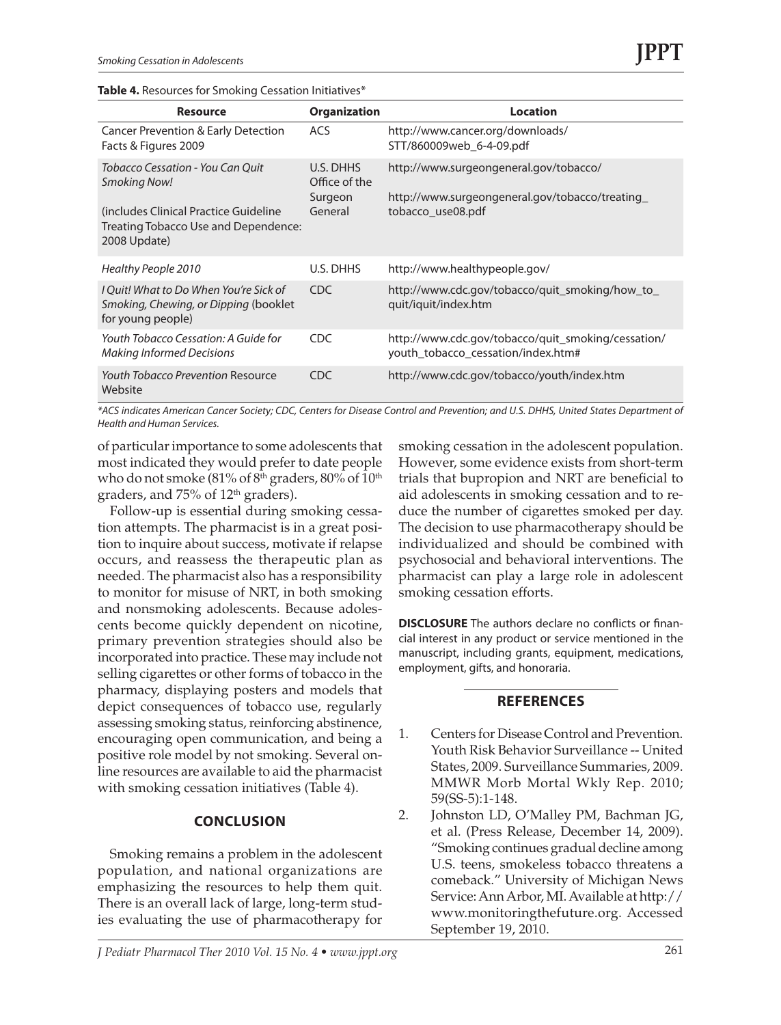| <b>Resource</b>                                                                                                                                    | <b>Organization</b>                              | Location                                                                                                      |
|----------------------------------------------------------------------------------------------------------------------------------------------------|--------------------------------------------------|---------------------------------------------------------------------------------------------------------------|
| <b>Cancer Prevention &amp; Early Detection</b><br>Facts & Figures 2009                                                                             | <b>ACS</b>                                       | http://www.cancer.org/downloads/<br>STT/860009web_6-4-09.pdf                                                  |
| Tobacco Cessation - You Can Ouit<br>Smoking Now!<br>(includes Clinical Practice Guideline)<br>Treating Tobacco Use and Dependence:<br>2008 Update) | U.S. DHHS<br>Office of the<br>Surgeon<br>General | http://www.surgeongeneral.gov/tobacco/<br>http://www.surgeongeneral.gov/tobacco/treating<br>tobacco use08.pdf |
| Healthy People 2010                                                                                                                                | U.S. DHHS                                        | http://www.healthypeople.gov/                                                                                 |
| I Ouit! What to Do When You're Sick of<br>Smoking, Chewing, or Dipping (booklet<br>for young people)                                               | C <sub>DC</sub>                                  | http://www.cdc.gov/tobacco/quit_smoking/how_to_<br>quit/iquit/index.htm                                       |
| Youth Tobacco Cessation: A Guide for<br><b>Making Informed Decisions</b>                                                                           | <b>CDC</b>                                       | http://www.cdc.gov/tobacco/quit_smoking/cessation/<br>youth_tobacco_cessation/index.htm#                      |
| <b>Youth Tobacco Prevention Resource</b><br>Website                                                                                                | CDC.                                             | http://www.cdc.gov/tobacco/youth/index.htm                                                                    |

*\*ACS indicates American Cancer Society; CDC, Centers for Disease Control and Prevention; and U.S. DHHS, United States Department of Health and Human Services.*

of particular importance to some adolescents that most indicated they would prefer to date people who do not smoke  $(81\% \text{ of } 8^{\text{th}} \text{ graders}, 80\% \text{ of } 10^{\text{th}} \text{ m}$ graders, and 75% of 12th graders).

Follow-up is essential during smoking cessation attempts. The pharmacist is in a great position to inquire about success, motivate if relapse occurs, and reassess the therapeutic plan as needed. The pharmacist also has a responsibility to monitor for misuse of NRT, in both smoking and nonsmoking adolescents. Because adolescents become quickly dependent on nicotine, primary prevention strategies should also be incorporated into practice. These may include not selling cigarettes or other forms of tobacco in the pharmacy, displaying posters and models that depict consequences of tobacco use, regularly assessing smoking status, reinforcing abstinence, encouraging open communication, and being a positive role model by not smoking. Several online resources are available to aid the pharmacist with smoking cessation initiatives (Table 4).

#### **Conclusion**

Smoking remains a problem in the adolescent population, and national organizations are emphasizing the resources to help them quit. There is an overall lack of large, long-term studies evaluating the use of pharmacotherapy for

smoking cessation in the adolescent population. However, some evidence exists from short-term trials that bupropion and NRT are beneficial to aid adolescents in smoking cessation and to reduce the number of cigarettes smoked per day. The decision to use pharmacotherapy should be individualized and should be combined with psychosocial and behavioral interventions. The pharmacist can play a large role in adolescent smoking cessation efforts.

**DISCLOSURE** The authors declare no conflicts or financial interest in any product or service mentioned in the manuscript, including grants, equipment, medications, employment, gifts, and honoraria.

#### **References**

- 1. Centers for Disease Control and Prevention. Youth Risk Behavior Surveillance -- United States, 2009. Surveillance Summaries, 2009. MMWR Morb Mortal Wkly Rep. 2010; 59(SS-5):1-148.
- 2. Johnston LD, O'Malley PM, Bachman JG, et al. (Press Release, December 14, 2009). "Smoking continues gradual decline among U.S. teens, smokeless tobacco threatens a comeback." University of Michigan News Service: Ann Arbor, MI. Available at http:// www.monitoringthefuture.org. Accessed September 19, 2010.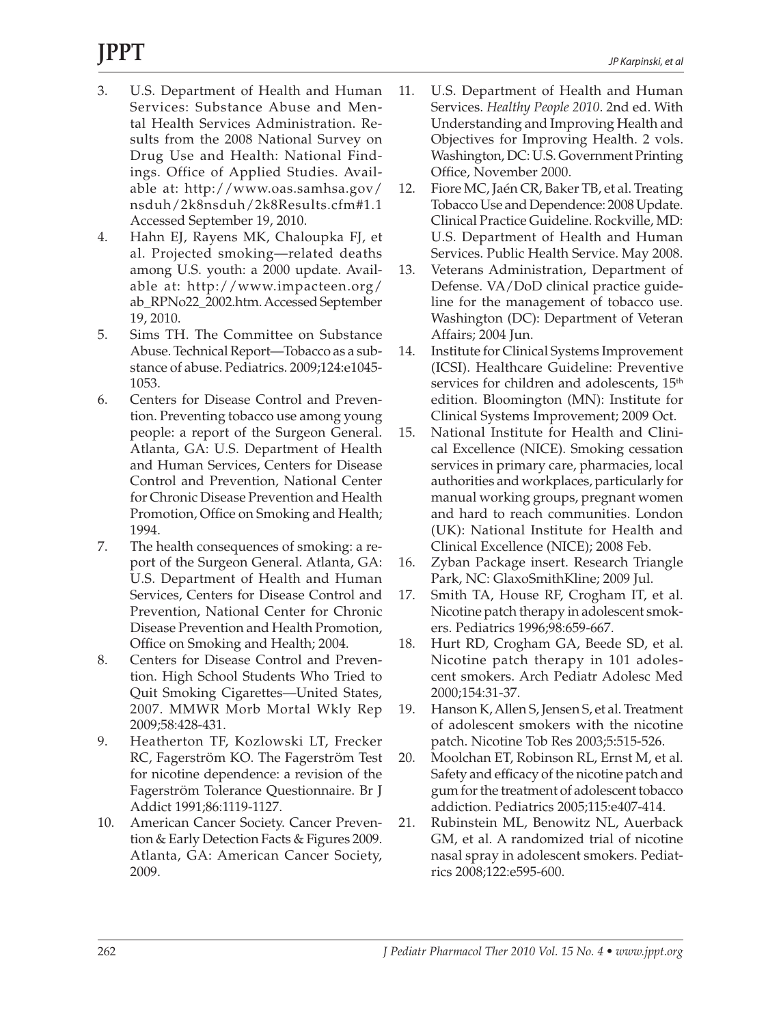# **JPPT**

- 3. U.S. Department of Health and Human Services: Substance Abuse and Mental Health Services Administration. Results from the 2008 National Survey on Drug Use and Health: National Findings. Office of Applied Studies. Available at: http://www.oas.samhsa.gov/ nsduh/2k8nsduh/2k8Results.cfm#1.1 Accessed September 19, 2010.
- 4. Hahn EJ, Rayens MK, Chaloupka FJ, et al. Projected smoking—related deaths among U.S. youth: a 2000 update. Available at: http://www.impacteen.org/ ab\_RPNo22\_2002.htm. Accessed September 19, 2010.
- 5. Sims TH. The Committee on Substance Abuse. Technical Report—Tobacco as a substance of abuse. Pediatrics. 2009;124:e1045- 1053.
- 6. Centers for Disease Control and Prevention. Preventing tobacco use among young people: a report of the Surgeon General. Atlanta, GA: U.S. Department of Health and Human Services, Centers for Disease Control and Prevention, National Center for Chronic Disease Prevention and Health Promotion, Office on Smoking and Health; 1994.
- 7. The health consequences of smoking: a report of the Surgeon General. Atlanta, GA: U.S. Department of Health and Human Services, Centers for Disease Control and Prevention, National Center for Chronic Disease Prevention and Health Promotion, Office on Smoking and Health; 2004.
- 8. Centers for Disease Control and Prevention. High School Students Who Tried to Quit Smoking Cigarettes—United States, 2007. MMWR Morb Mortal Wkly Rep 2009;58:428-431.
- 9. Heatherton TF, Kozlowski LT, Frecker RC, FagerstrÖm KO. The FagerstrÖm Test for nicotine dependence: a revision of the FagerstrÖm Tolerance Questionnaire. Br J Addict 1991;86:1119-1127.
- 10. American Cancer Society. Cancer Prevention & Early Detection Facts & Figures 2009. Atlanta, GA: American Cancer Society, 2009.
- 11. U.S. Department of Health and Human Services. *Healthy People 2010*. 2nd ed. With Understanding and Improving Health and Objectives for Improving Health. 2 vols. Washington, DC: U.S. Government Printing Office, November 2000.
- 12. Fiore MC, Jaén CR, Baker TB, et al. Treating Tobacco Use and Dependence: 2008 Update. Clinical Practice Guideline. Rockville, MD: U.S. Department of Health and Human Services. Public Health Service. May 2008.
- 13. Veterans Administration, Department of Defense. VA/DoD clinical practice guideline for the management of tobacco use. Washington (DC): Department of Veteran Affairs; 2004 Jun.
- 14. Institute for Clinical Systems Improvement (ICSI). Healthcare Guideline: Preventive services for children and adolescents, 15<sup>th</sup> edition. Bloomington (MN): Institute for Clinical Systems Improvement; 2009 Oct.
- 15. National Institute for Health and Clinical Excellence (NICE). Smoking cessation services in primary care, pharmacies, local authorities and workplaces, particularly for manual working groups, pregnant women and hard to reach communities. London (UK): National Institute for Health and Clinical Excellence (NICE); 2008 Feb.
- 16. Zyban Package insert. Research Triangle Park, NC: GlaxoSmithKline; 2009 Jul.
- 17. Smith TA, House RF, Crogham IT, et al. Nicotine patch therapy in adolescent smokers. Pediatrics 1996;98:659-667.
- 18. Hurt RD, Crogham GA, Beede SD, et al. Nicotine patch therapy in 101 adolescent smokers. Arch Pediatr Adolesc Med 2000;154:31-37.
- 19. Hanson K, Allen S, Jensen S, et al. Treatment of adolescent smokers with the nicotine patch. Nicotine Tob Res 2003;5:515-526.
- 20. Moolchan ET, Robinson RL, Ernst M, et al. Safety and efficacy of the nicotine patch and gum for the treatment of adolescent tobacco addiction. Pediatrics 2005;115:e407-414.
- 21. Rubinstein ML, Benowitz NL, Auerback GM, et al. A randomized trial of nicotine nasal spray in adolescent smokers. Pediatrics 2008;122:e595-600.